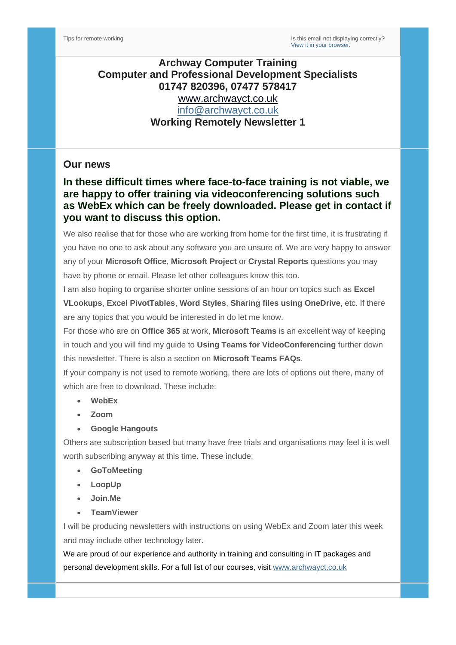### **Archway Computer Training Computer and Professional Development Specialists 01747 820396, 07477 578417** [www.archwayct.co.uk](http://www.archwayct.co.uk/) [info@archwayct.co.uk](mailto:%20info@archwayct.co.uk) **Working Remotely Newsletter 1**

#### **Our news**

### **In these difficult times where face-to-face training is not viable, we are happy to offer training via videoconferencing solutions such as WebEx which can be freely downloaded. Please get in contact if you want to discuss this option.**

We also realise that for those who are working from home for the first time, it is frustrating if you have no one to ask about any software you are unsure of. We are very happy to answer any of your **Microsoft Office**, **Microsoft Project** or **Crystal Reports** questions you may have by phone or email. Please let other colleagues know this too.

I am also hoping to organise shorter online sessions of an hour on topics such as **Excel VLookups**, **Excel PivotTables**, **Word Styles**, **Sharing files using OneDrive**, etc. If there are any topics that you would be interested in do let me know.

For those who are on **Office 365** at work, **Microsoft Teams** is an excellent way of keeping in touch and you will find my guide to **Using Teams for VideoConferencing** further down this newsletter. There is also a section on **Microsoft Teams FAQs**.

If your company is not used to remote working, there are lots of options out there, many of which are free to download. These include:

- **WebEx**
- **Zoom**
- **Google Hangouts**

Others are subscription based but many have free trials and organisations may feel it is well worth subscribing anyway at this time. These include:

- **GoToMeeting**
- **LoopUp**
- **Join.Me**
- **TeamViewer**

I will be producing newsletters with instructions on using WebEx and Zoom later this week and may include other technology later.

We are proud of our experience and authority in training and consulting in IT packages and personal development skills. For a full list of our courses, visit [www.archwayct.co.uk](http://www.archwayct.co.uk/)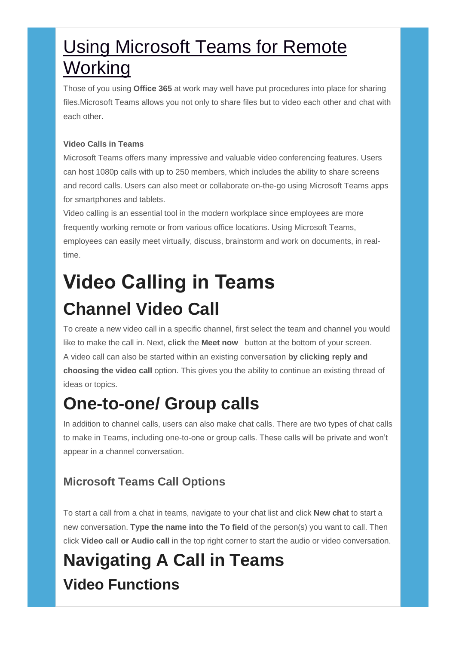# **Using Microsoft Teams for Remote Working**

Those of you using **Office 365** at work may well have put procedures into place for sharing files.Microsoft Teams allows you not only to share files but to video each other and chat with each other.

#### **Video Calls in Teams**

Microsoft Teams offers many impressive and valuable video conferencing features. Users can host 1080p calls with up to 250 members, which includes the ability to share screens and record calls. Users can also meet or collaborate on-the-go using Microsoft Teams apps for smartphones and tablets.

Video calling is an essential tool in the modern workplace since employees are more frequently working remote or from various office locations. Using Microsoft Teams, employees can easily meet virtually, discuss, brainstorm and work on documents, in realtime.

# **Video Calling in Teams Channel Video Call**

To create a new video call in a specific channel, first select the team and channel you would like to make the call in. Next, **click** the **Meet now** button at the bottom of your screen. A video call can also be started within an existing conversation **by clicking reply and choosing the video call** option. This gives you the ability to continue an existing thread of ideas or topics.

# **One-to-one/ Group calls**

In addition to channel calls, users can also make chat calls. There are two types of chat calls to make in Teams, including one-to-one or group calls. These calls will be private and won't appear in a channel conversation.

### **Microsoft Teams Call Options**

To start a call from a chat in teams, navigate to your chat list and click **New chat** to start a new conversation. **Type the name into the To field** of the person(s) you want to call. Then click **Video call or Audio call** in the top right corner to start the audio or video conversation.

# **Navigating A Call in Teams Video Functions**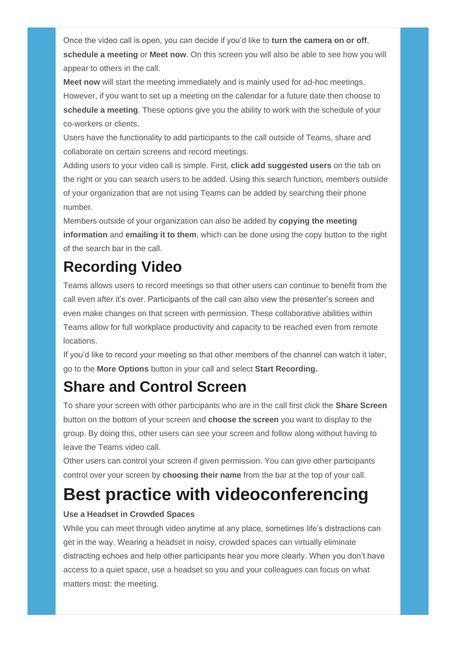Once the video call is open, you can decide if you'd like to **turn the camera on or off**, **schedule a meeting** or **Meet now**. On this screen you will also be able to see how you will appear to others in the call.

**Meet now** will start the meeting immediately and is mainly used for ad-hoc meetings. However, if you want to set up a meeting on the calendar for a future date then choose to **schedule a meeting**. These options give you the ability to work with the schedule of your co-workers or clients.

Users have the functionality to add participants to the call outside of Teams, share and collaborate on certain screens and record meetings.

Adding users to your video call is simple. First, **click add suggested users** on the tab on the right or you can search users to be added. Using this search function, members outside of your organization that are not using Teams can be added by searching their phone number.

Members outside of your organization can also be added by **copying the meeting information** and **emailing it to them**, which can be done using the copy button to the right of the search bar in the call.

## **Recording Video**

Teams allows users to record meetings so that other users can continue to benefit from the call even after it's over. Participants of the call can also view the presenter's screen and even make changes on that screen with permission. These collaborative abilities within Teams allow for full workplace productivity and capacity to be reached even from remote locations.

If you'd like to record your meeting so that other members of the channel can watch it later, go to the **More Options** button in your call and select **Start Recording.**

### **Share and Control Screen**

To share your screen with other participants who are in the call first click the **Share Screen**  button on the bottom of your screen and **choose the screen** you want to display to the group. By doing this, other users can see your screen and follow along without having to leave the Teams video call.

Other users can control your screen if given permission. You can give other participants control over your screen by **choosing their name** from the bar at the top of your call.

# **Best practice with videoconferencing**

#### **Use a Headset in Crowded Spaces**

While you can meet through video anytime at any place, sometimes life's distractions can get in the way. Wearing a headset in noisy, crowded spaces can virtually eliminate distracting echoes and help other participants hear you more clearly. When you don't have access to a quiet space, use a headset so you and your colleagues can focus on what matters most: the meeting.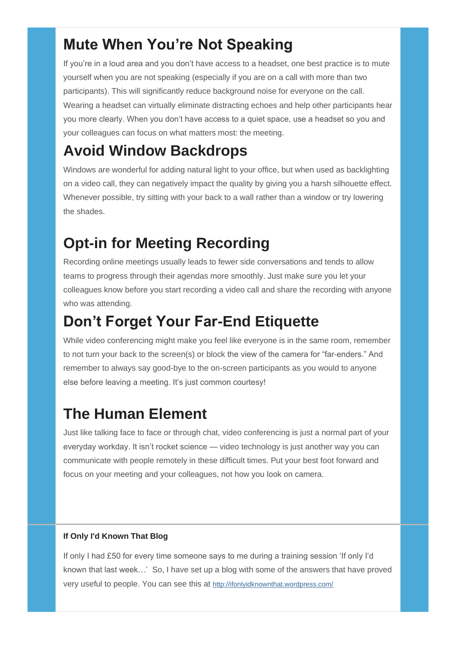### **Mute When You're Not Speaking**

If you're in a loud area and you don't have access to a headset, one best practice is to mute yourself when you are not speaking (especially if you are on a call with more than two participants). This will significantly reduce background noise for everyone on the call. Wearing a headset can virtually eliminate distracting echoes and help other participants hear you more clearly. When you don't have access to a quiet space, use a headset so you and your colleagues can focus on what matters most: the meeting.

### **Avoid Window Backdrops**

Windows are wonderful for adding natural light to your office, but when used as backlighting on a video call, they can negatively impact the quality by giving you a harsh silhouette effect. Whenever possible, try sitting with your back to a wall rather than a window or try lowering the shades.

### **Opt-in for Meeting Recording**

Recording online meetings usually leads to fewer side conversations and tends to allow teams to progress through their agendas more smoothly. Just make sure you let your colleagues know before you start recording a video call and share the recording with anyone who was attending.

### **Don't Forget Your Far-End Etiquette**

While video conferencing might make you feel like everyone is in the same room, remember to not turn your back to the screen(s) or block the view of the camera for "far-enders." And remember to always say good-bye to the on-screen participants as you would to anyone else before leaving a meeting. It's just common courtesy!

### **The Human Element**

Just like talking face to face or through chat, video conferencing is just a normal part of your everyday workday. It isn't rocket science — video technology is just another way you can communicate with people remotely in these difficult times. Put your best foot forward and focus on your meeting and your colleagues, not how you look on camera.

### **If Only I'd Known That Blog**

If only I had £50 for every time someone says to me during a training session 'If only I'd known that last week…' So, I have set up a blog with some of the answers that have proved very useful to people. You can see this at <http://ifonlyidknownthat.wordpress.com/>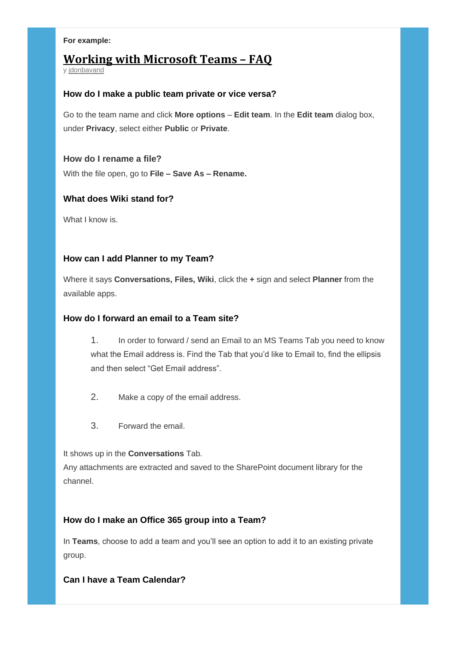#### **For example:**

### **Working with [Microsoft](https://ifonlyidknownthat.wordpress.com/2018/09/25/working-with-microsoft-teams-faq/) Teams – FAQ**

y [jdonbavand](https://ifonlyidknownthat.wordpress.com/author/jdonbavand/)

#### **How do I make a public team private or vice versa?**

Go to the team name and click **More options** – **Edit team**. In the **Edit team** dialog box, under **Privacy**, select either **Public** or **Private**.

#### **How do I rename a file?**

With the file open, go to **File – Save As – Rename.**

#### **What does Wiki stand for?**

What I know is.

#### **How can I add Planner to my Team?**

Where it says **Conversations, Files, Wiki**, click the **+** sign and select **Planner** from the available apps.

#### **How do I forward an email to a Team site?**

1. In order to forward / send an Email to an MS Teams Tab you need to know what the Email address is. Find the Tab that you'd like to Email to, find the ellipsis and then select "Get Email address".

- 2. Make a copy of the email address.
- 3. Forward the email.

It shows up in the **Conversations** Tab.

Any attachments are extracted and saved to the SharePoint document library for the channel.

#### **How do I make an Office 365 group into a Team?**

In **Teams**, choose to add a team and you'll see an option to add it to an existing private group.

#### **Can I have a Team Calendar?**